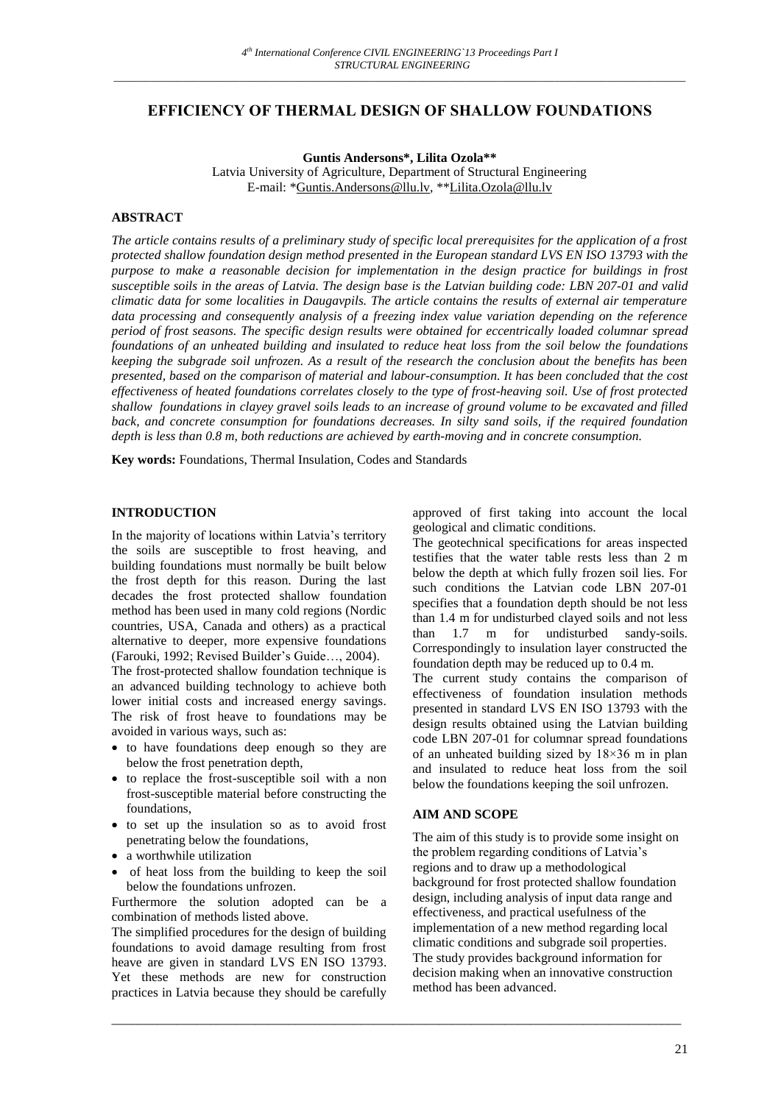# **EFFICIENCY OF THERMAL DESIGN OF SHALLOW FOUNDATIONS**

**Guntis Andersons\*, Lilita Ozola\*\***

Latvia University of Agriculture, Department of Structural Engineering E-mail: [\\*Guntis.Andersons@llu.lv,](mailto:Guntis.Andersons@llu.lv) \*[\\*Lilita.Ozola@llu.lv](mailto:Lilita.Ozola@llu.lv)

## **ABSTRACT**

*The article contains results of a preliminary study of specific local prerequisites for the application of a frost protected shallow foundation design method presented in the European standard LVS EN ISO 13793 with the purpose to make a reasonable decision for implementation in the design practice for buildings in frost susceptible soils in the areas of Latvia. The design base is the Latvian building code: LBN 207-01 and valid climatic data for some localities in Daugavpils. The article contains the results of external air temperature data processing and consequently analysis of a freezing index value variation depending on the reference period of frost seasons. The specific design results were obtained for eccentrically loaded columnar spread foundations of an unheated building and insulated to reduce heat loss from the soil below the foundations keeping the subgrade soil unfrozen. As a result of the research the conclusion about the benefits has been presented, based on the comparison of material and labour-consumption. It has been concluded that the cost effectiveness of heated foundations correlates closely to the type of frost-heaving soil. Use of frost protected shallow foundations in clayey gravel soils leads to an increase of ground volume to be excavated and filled back, and concrete consumption for foundations decreases. In silty sand soils, if the required foundation depth is less than 0.8 m, both reductions are achieved by earth-moving and in concrete consumption.*

**Key words:** Foundations, Thermal Insulation, Codes and Standards

# **INTRODUCTION**

In the majority of locations within Latvia's territory the soils are susceptible to frost heaving, and building foundations must normally be built below the frost depth for this reason. During the last decades the frost protected shallow foundation method has been used in many cold regions (Nordic countries, USA, Canada and others) as a practical alternative to deeper, more expensive foundations (Farouki, 1992; Revised Builder's Guide…, 2004). The frost-protected shallow foundation technique is an advanced building technology to achieve both lower initial costs and increased energy savings. The risk of frost heave to foundations may be avoided in various ways, such as:

- to have foundations deep enough so they are below the frost penetration depth,
- to replace the frost-susceptible soil with a non frost-susceptible material before constructing the foundations,
- to set up the insulation so as to avoid frost penetrating below the foundations,
- a worthwhile utilization
- of heat loss from the building to keep the soil below the foundations unfrozen.

Furthermore the solution adopted can be a combination of methods listed above.

The simplified procedures for the design of building foundations to avoid damage resulting from frost heave are given in standard LVS EN ISO 13793. Yet these methods are new for construction practices in Latvia because they should be carefully approved of first taking into account the local geological and climatic conditions.

The geotechnical specifications for areas inspected testifies that the water table rests less than 2 m below the depth at which fully frozen soil lies. For such conditions the Latvian code LBN 207-01 specifies that a foundation depth should be not less than 1.4 m for undisturbed clayed soils and not less than 1.7 m for undisturbed sandy-soils. Correspondingly to insulation layer constructed the foundation depth may be reduced up to 0.4 m.

The current study contains the comparison of effectiveness of foundation insulation methods presented in standard LVS EN ISO 13793 with the design results obtained using the Latvian building code LBN 207-01 for columnar spread foundations of an unheated building sized by 18×36 m in plan and insulated to reduce heat loss from the soil below the foundations keeping the soil unfrozen.

### **AIM AND SCOPE**

\_\_\_\_\_\_\_\_\_\_\_\_\_\_\_\_\_\_\_\_\_\_\_\_\_\_\_\_\_\_\_\_\_\_\_\_\_\_\_\_\_\_\_\_\_\_\_\_\_\_\_\_\_\_\_\_\_\_\_\_\_\_\_\_\_\_\_\_\_\_\_\_\_\_\_\_\_\_\_\_\_\_\_\_\_\_\_

The aim of this study is to provide some insight on the problem regarding conditions of Latvia's regions and to draw up a methodological background for frost protected shallow foundation design, including analysis of input data range and effectiveness, and practical usefulness of the implementation of a new method regarding local climatic conditions and subgrade soil properties. The study provides background information for decision making when an innovative construction method has been advanced.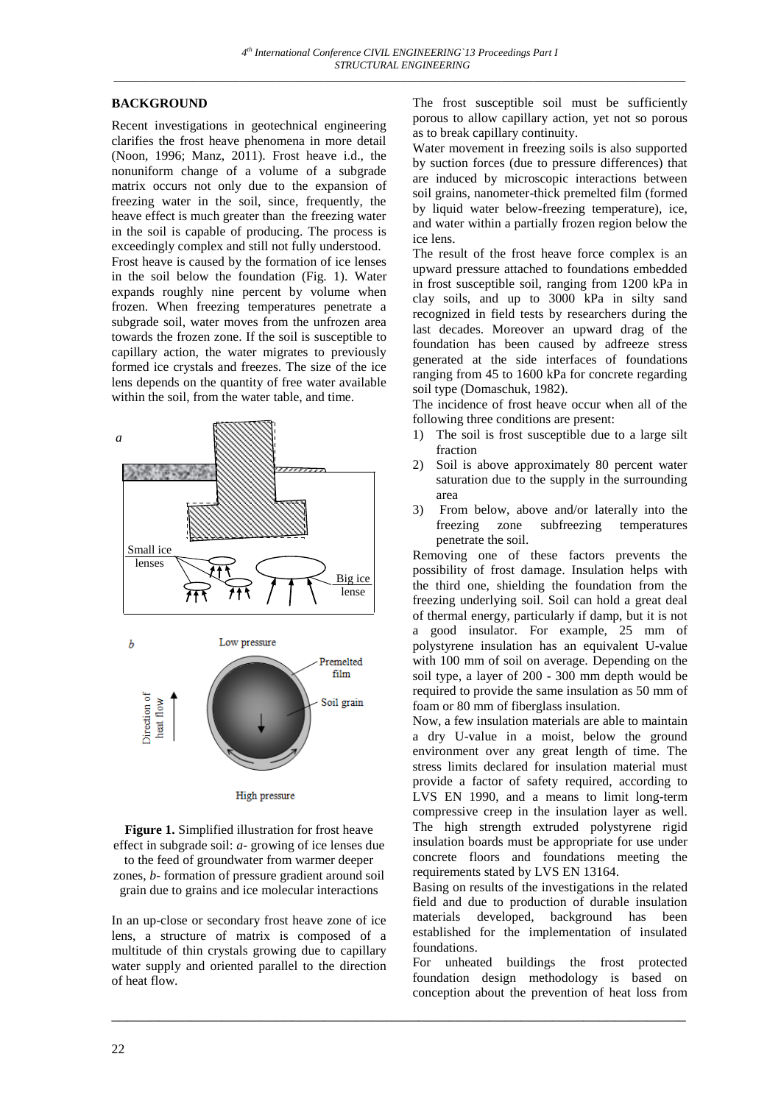# **BACKGROUND**

Recent investigations in geotechnical engineering clarifies the frost heave phenomena in more detail (Noon, 1996; Manz, 2011). Frost heave i.d., the nonuniform change of a volume of a subgrade matrix occurs not only due to the expansion of freezing water in the soil, since, frequently, the heave effect is much greater than the freezing water in the soil is capable of producing. The process is exceedingly complex and still not fully understood. Frost heave is caused by the formation of ice lenses in the soil below the foundation (Fig. 1). Water expands roughly nine percent by volume when frozen. When freezing temperatures penetrate a subgrade soil, water moves from the unfrozen area towards the frozen zone. If the soil is susceptible to capillary action, the water migrates to previously formed ice crystals and freezes. The size of the ice lens depends on the quantity of free water available within the soil, from the water table, and time.



**Figure 1.** Simplified illustration for frost heave effect in subgrade soil: *a*- growing of ice lenses due to the feed of groundwater from warmer deeper zones, *b*- formation of pressure gradient around soil grain due to grains and ice molecular interactions

In an up-close or secondary frost heave zone of ice lens, a structure of matrix is composed of a multitude of thin crystals growing due to capillary water supply and oriented parallel to the direction of heat flow.

\_\_\_\_\_\_\_\_\_\_\_\_\_\_\_\_\_\_\_\_\_\_\_\_\_\_\_\_\_\_\_\_\_\_\_\_\_\_\_\_\_\_\_\_\_\_\_\_\_\_\_\_\_\_\_\_\_\_\_\_\_\_\_\_\_\_\_\_\_\_\_\_\_

The frost susceptible soil must be sufficiently porous to allow capillary action, yet not so porous as to break capillary continuity.

Water movement in freezing soils is also supported by suction forces (due to pressure differences) that are induced by microscopic interactions between soil grains, nanometer-thick premelted film (formed by liquid water below-freezing temperature), ice, and water within a partially frozen region below the ice lens.

The result of the frost heave force complex is an upward pressure attached to foundations embedded in frost susceptible soil, ranging from 1200 kPa in clay soils, and up to 3000 kPa in silty sand recognized in field tests by researchers during the last decades. Moreover an upward drag of the foundation has been caused by adfreeze stress generated at the side interfaces of foundations ranging from 45 to 1600 kPa for concrete regarding soil type (Domaschuk, 1982).

The incidence of frost heave occur when all of the following three conditions are present:

- 1) The soil is frost susceptible due to a large silt fraction
- 2) Soil is above approximately 80 percent water saturation due to the supply in the surrounding area
- 3) From below, above and/or laterally into the freezing zone subfreezing temperatures penetrate the soil.

Removing one of these factors prevents the possibility of frost damage. Insulation helps with the third one, shielding the foundation from the freezing underlying soil. Soil can hold a great deal of thermal energy, particularly if damp, but it is not a good insulator. For example, 25 mm of polystyrene insulation has an equivalent U-value with 100 mm of soil on average. Depending on the soil type, a layer of 200 - 300 mm depth would be required to provide the same insulation as 50 mm of foam or 80 mm of fiberglass insulation.

Now, a few insulation materials are able to maintain a dry U-value in a moist, below the ground environment over any great length of time. The stress limits declared for insulation material must provide a factor of safety required, according to LVS EN 1990, and a means to limit long-term compressive creep in the insulation layer as well. The high strength extruded polystyrene rigid insulation boards must be appropriate for use under concrete floors and foundations meeting the requirements stated by LVS EN 13164.

Basing on results of the investigations in the related field and due to production of durable insulation materials developed, background has been established for the implementation of insulated foundations.

For unheated buildings the frost protected foundation design methodology is based on conception about the prevention of heat loss from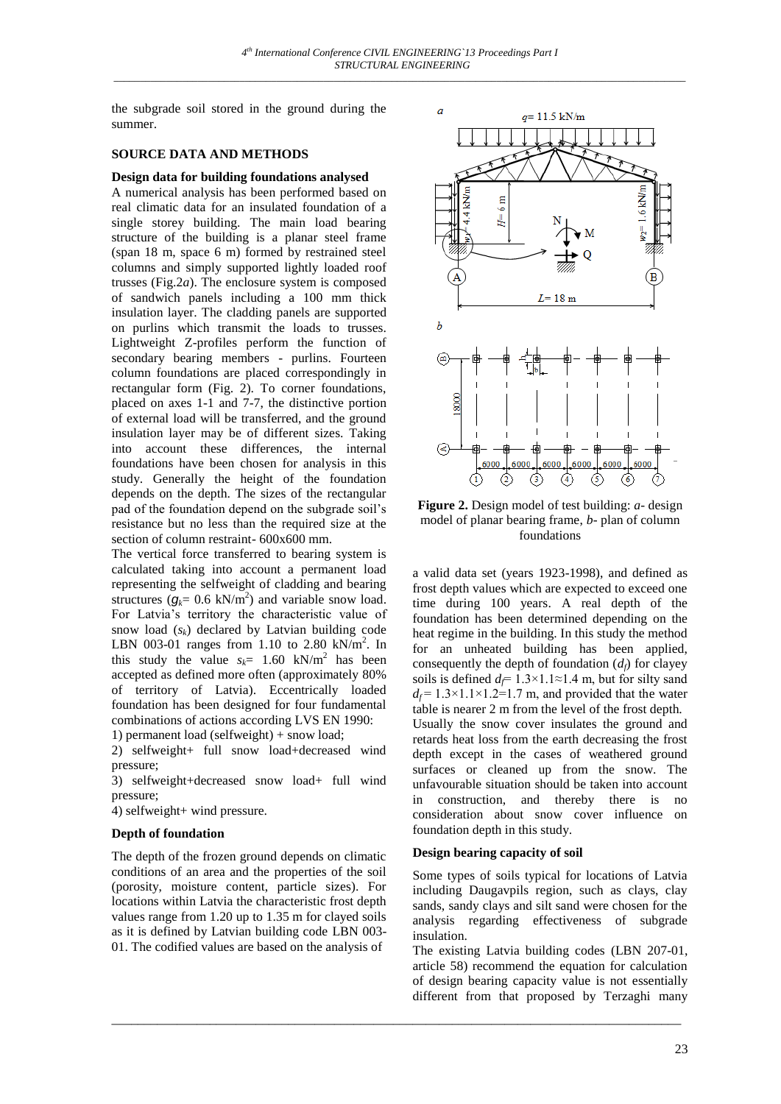the subgrade soil stored in the ground during the summer.

## **SOURCE DATA AND METHODS**

**Design data for building foundations analysed** A numerical analysis has been performed based on real climatic data for an insulated foundation of a single storey building. The main load bearing structure of the building is a planar steel frame (span 18 m, space 6 m) formed by restrained steel columns and simply supported lightly loaded roof trusses (Fig.2*a*). The enclosure system is composed of sandwich panels including a 100 mm thick insulation layer. The cladding panels are supported on purlins which transmit the loads to trusses. Lightweight Z-profiles perform the function of secondary bearing members - purlins. Fourteen column foundations are placed correspondingly in rectangular form (Fig. 2). To corner foundations, placed on axes 1-1 and 7-7, the distinctive portion of external load will be transferred, and the ground insulation layer may be of different sizes. Taking into account these differences, the internal foundations have been chosen for analysis in this study. Generally the height of the foundation depends on the depth. The sizes of the rectangular pad of the foundation depend on the subgrade soil's resistance but no less than the required size at the section of column restraint- 600x600 mm.

The vertical force transferred to bearing system is calculated taking into account a permanent load representing the selfweight of cladding and bearing structures  $(g_k = 0.6 \text{ kN/m}^2)$  and variable snow load. For Latvia's territory the characteristic value of snow load  $(s_k)$  declared by Latvian building code LBN 003-01 ranges from 1.10 to 2.80  $kN/m^2$ . In this study the value  $s_k$  = 1.60 kN/m<sup>2</sup> has been accepted as defined more often (approximately 80% of territory of Latvia). Eccentrically loaded foundation has been designed for four fundamental combinations of actions according LVS EN 1990:

1) permanent load (selfweight) + snow load;

2) selfweight+ full snow load+decreased wind pressure;

3) selfweight+decreased snow load+ full wind pressure;

4) selfweight+ wind pressure.

## **Depth of foundation**

The depth of the frozen ground depends on climatic conditions of an area and the properties of the soil (porosity, moisture content, particle sizes). For locations within Latvia the characteristic frost depth values range from 1.20 up to 1.35 m for clayed soils as it is defined by Latvian building code LBN 003- 01. The codified values are based on the analysis of



**Figure 2.** Design model of test building: *a*- design model of planar bearing frame, *b*- plan of column foundations

a valid data set (years 1923-1998), and defined as frost depth values which are expected to exceed one time during 100 years. A real depth of the foundation has been determined depending on the heat regime in the building. In this study the method for an unheated building has been applied, consequently the depth of foundation  $(d_f)$  for clayey soils is defined  $d_f = 1.3 \times 1.1 \approx 1.4$  m, but for silty sand  $d_f$  = 1.3×1.1×1.2=1.7 m, and provided that the water table is nearer 2 m from the level of the frost depth. Usually the snow cover insulates the ground and retards heat loss from the earth decreasing the frost depth except in the cases of weathered ground surfaces or cleaned up from the snow. The unfavourable situation should be taken into account in construction, and thereby there is no consideration about snow cover influence on foundation depth in this study.

## **Design bearing capacity of soil**

\_\_\_\_\_\_\_\_\_\_\_\_\_\_\_\_\_\_\_\_\_\_\_\_\_\_\_\_\_\_\_\_\_\_\_\_\_\_\_\_\_\_\_\_\_\_\_\_\_\_\_\_\_\_\_\_\_\_\_\_\_\_\_\_\_\_\_\_\_\_\_\_\_\_\_\_\_\_\_\_\_\_\_\_\_\_\_

Some types of soils typical for locations of Latvia including Daugavpils region, such as clays, clay sands, sandy clays and silt sand were chosen for the analysis regarding effectiveness of subgrade insulation.

The existing Latvia building codes (LBN 207-01, article 58) recommend the equation for calculation of design bearing capacity value is not essentially different from that proposed by Terzaghi many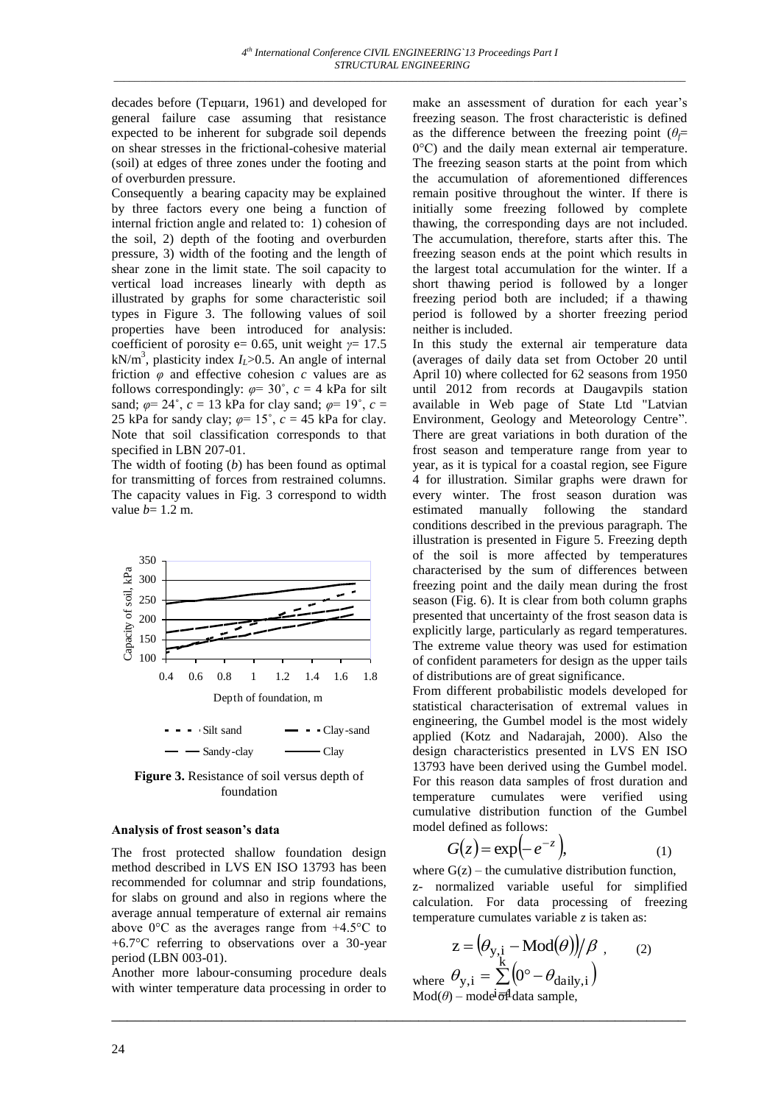decades before (Терцаги, 1961) and developed for general failure case assuming that resistance expected to be inherent for subgrade soil depends on shear stresses in the frictional-cohesive material (soil) at edges of three zones under the footing and of overburden pressure.

Consequently a bearing capacity may be explained by three factors every one being a function of internal friction angle and related to: 1) cohesion of the soil, 2) depth of the footing and overburden pressure, 3) width of the footing and the length of shear zone in the limit state. The soil capacity to vertical load increases linearly with depth as illustrated by graphs for some characteristic soil types in Figure 3. The following values of soil properties have been introduced for analysis: coefficient of porosity e= 0.65, unit weight *γ*= 17.5  $kN/m<sup>3</sup>$ , plasticity index  $I_L > 0.5$ . An angle of internal friction  $\varphi$  and effective cohesion  $c$  values are as follows correspondingly:  $\varphi = 30^{\circ}$ ,  $c = 4$  kPa for silt sand;  $\varphi = 24^{\circ}$ ,  $c = 13$  kPa for clay sand;  $\varphi = 19^{\circ}$ ,  $c =$ 25 kPa for sandy clay;  $\varphi = 15^{\circ}$ ,  $c = 45$  kPa for clay. Note that soil classification corresponds to that specified in LBN 207-01.

The width of footing (*b*) has been found as optimal for transmitting of forces from restrained columns. The capacity values in Fig. 3 correspond to width value  $b=1.2$  m.



**Figure 3.** Resistance of soil versus depth of foundation

## **Analysis of frost season's data**

The frost protected shallow foundation design method described in LVS EN ISO 13793 has been recommended for columnar and strip foundations, for slabs on ground and also in regions where the average annual temperature of external air remains above 0°C as the averages range from +4.5°C to +6.7°C referring to observations over a 30-year period (LBN 003-01).

Another more labour-consuming procedure deals with winter temperature data processing in order to

make an assessment of duration for each year's freezing season. The frost characteristic is defined as the difference between the freezing point  $(\theta \in$ 0°C) and the daily mean external air temperature. The freezing season starts at the point from which the accumulation of aforementioned differences remain positive throughout the winter. If there is initially some freezing followed by complete thawing, the corresponding days are not included. The accumulation, therefore, starts after this. The freezing season ends at the point which results in the largest total accumulation for the winter. If a short thawing period is followed by a longer freezing period both are included; if a thawing period is followed by a shorter freezing period neither is included.

In this study the external air temperature data (averages of daily data set from October 20 until April 10) where collected for 62 seasons from 1950 until 2012 from records at Daugavpils station available in Web page of State Ltd "Latvian Environment, Geology and Meteorology Centre". There are great variations in both duration of the frost season and temperature range from year to year, as it is typical for a coastal region, see Figure 4 for illustration. Similar graphs were drawn for every winter. The frost season duration was estimated manually following the standard conditions described in the previous paragraph. The illustration is presented in Figure 5. Freezing depth of the soil is more affected by temperatures characterised by the sum of differences between freezing point and the daily mean during the frost season (Fig. 6). It is clear from both column graphs presented that uncertainty of the frost season data is explicitly large, particularly as regard temperatures. The extreme value theory was used for estimation of confident parameters for design as the upper tails of distributions are of great significance.

From different probabilistic models developed for statistical characterisation of extremal values in engineering, the Gumbel model is the most widely applied (Kotz and Nadarajah, 2000). Also the design characteristics presented in LVS EN ISO 13793 have been derived using the Gumbel model. For this reason data samples of frost duration and temperature cumulates were verified using cumulative distribution function of the Gumbel model defined as follows:

$$
G(z) = \exp(-e^{-z}), \tag{1}
$$

where  $G(z)$  – the cumulative distribution function, z- normalized variable useful for simplified calculation. For data processing of freezing temperature cumulates variable *z* is taken as:

$$
z = (\theta_{y,i} - \text{Mod}(\theta))/\beta , \qquad (2)
$$

where  $\theta_{y,i} = \sum (0^{\circ} - \theta_{\text{daily},i})$  $Mod(\theta)$  – mode<sup>i</sup>  $\overline{\sigma}$ <sup>1</sup> data sample,

\_\_\_\_\_\_\_\_\_\_\_\_\_\_\_\_\_\_\_\_\_\_\_\_\_\_\_\_\_\_\_\_\_\_\_\_\_\_\_\_\_\_\_\_\_\_\_\_\_\_\_\_\_\_\_\_\_\_\_\_\_\_\_\_\_\_\_\_\_\_\_\_\_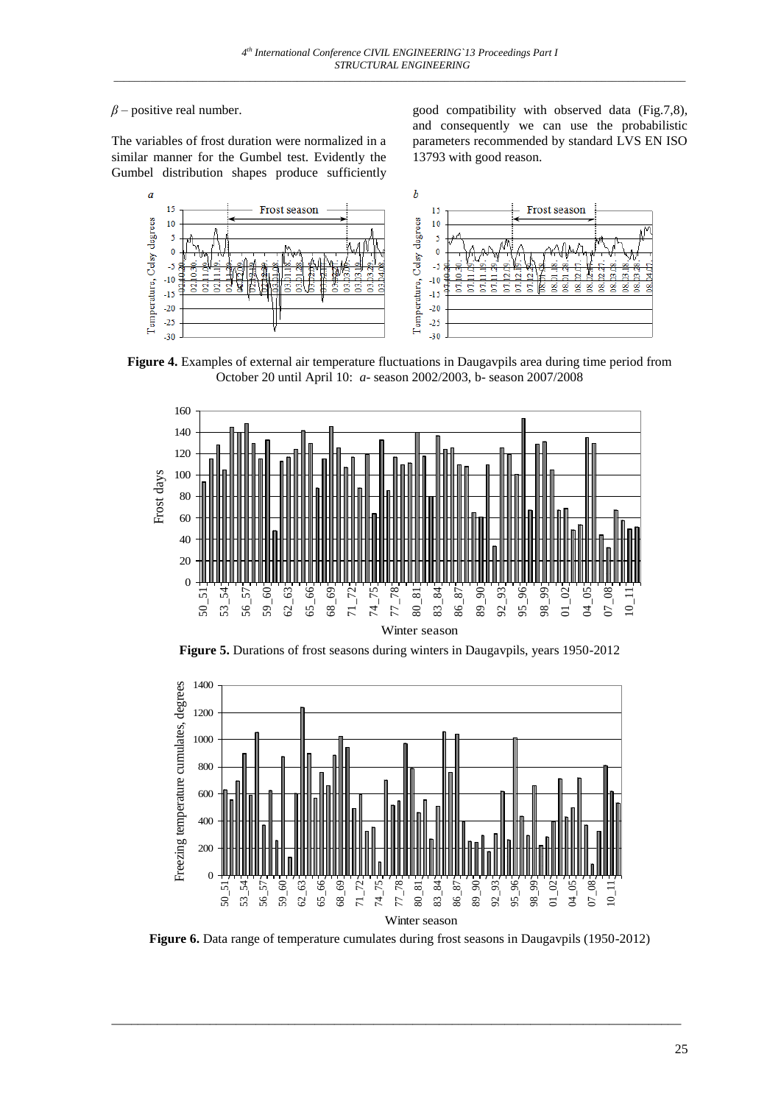# $\beta$  – positive real number.

The variables of frost duration were normalized in a similar manner for the Gumbel test. Evidently the Gumbel distribution shapes produce sufficiently good compatibility with observed data (Fig.7,8), and consequently we can use the probabilistic parameters recommended by standard LVS EN ISO 13793 with good reason.



**Figure 4.** Examples of external air temperature fluctuations in Daugavpils area during time period from October 20 until April 10: *a*- season 2002/2003, b- season 2007/2008



**Figure 5.** Durations of frost seasons during winters in Daugavpils, years 1950-2012



**Figure 6.** Data range of temperature cumulates during frost seasons in Daugavpils (1950-2012)

\_\_\_\_\_\_\_\_\_\_\_\_\_\_\_\_\_\_\_\_\_\_\_\_\_\_\_\_\_\_\_\_\_\_\_\_\_\_\_\_\_\_\_\_\_\_\_\_\_\_\_\_\_\_\_\_\_\_\_\_\_\_\_\_\_\_\_\_\_\_\_\_\_\_\_\_\_\_\_\_\_\_\_\_\_\_\_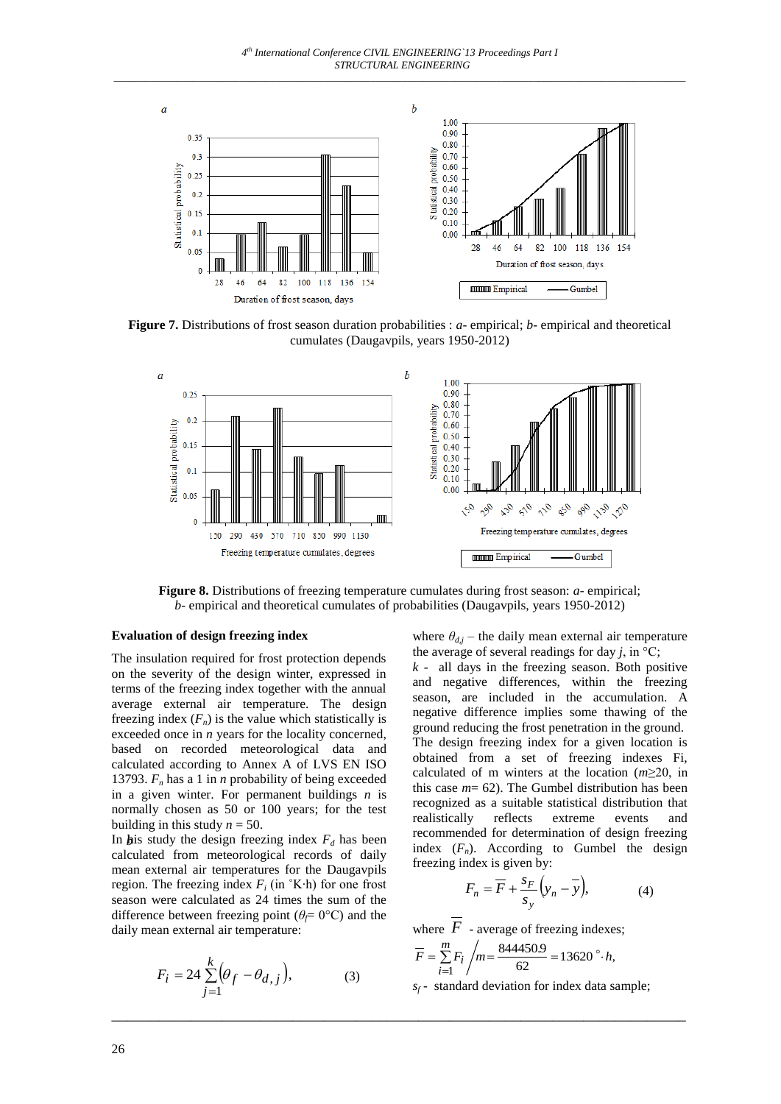

**Figure 7.** Distributions of frost season duration probabilities : *a*- empirical; *b*- empirical and theoretical cumulates (Daugavpils, years 1950-2012)



**Figure 8.** Distributions of freezing temperature cumulates during frost season: *a*- empirical; *b*- empirical and theoretical cumulates of probabilities (Daugavpils, years 1950-2012)

\_\_\_\_\_\_\_\_\_\_\_\_\_\_\_\_\_\_\_\_\_\_\_\_\_\_\_\_\_\_\_\_\_\_\_\_\_\_\_\_\_\_\_\_\_\_\_\_\_\_\_\_\_\_\_\_\_\_\_\_\_\_\_\_\_\_\_\_\_\_\_\_\_

#### **Evaluation of design freezing index**

The insulation required for frost protection depends on the severity of the design winter, expressed in terms of the freezing index together with the annual average external air temperature. The design freezing index  $(F_n)$  is the value which statistically is exceeded once in *n* years for the locality concerned, based on recorded meteorological data and calculated according to Annex A of LVS EN ISO 13793.  $F_n$  has a 1 in *n* probability of being exceeded in a given winter. For permanent buildings *n* is normally chosen as 50 or 100 years; for the test building in this study  $n = 50$ .

In **h**is study the design freezing index  $F_d$  has been calculated from meteorological records of daily mean external air temperatures for the Daugavpils region. The freezing index  $F_i$  (in °K⋅h) for one frost season were calculated as 24 times the sum of the difference between freezing point ( $\theta \in O^{\circ}C$ ) and the daily mean external air temperature:

$$
F_i = 24 \sum_{j=1}^{k} \left( \theta_f - \theta_{d,j} \right), \tag{3}
$$

where  $\theta_{d,j}$  – the daily mean external air temperature the average of several readings for day  $j$ , in  $\mathrm{^{\circ}C}$ ;

 $k$  - all days in the freezing season. Both positive and negative differences, within the freezing season, are included in the accumulation. A negative difference implies some thawing of the ground reducing the frost penetration in the ground. The design freezing index for a given location is obtained from a set of freezing indexes Fi, calculated of m winters at the location (*m*≥20, in this case *m*= 62). The Gumbel distribution has been recognized as a suitable statistical distribution that realistically reflects extreme events and recommended for determination of design freezing index  $(F_n)$ . According to Gumbel the design freezing index is given by:

$$
F_n = \overline{F} + \frac{s_F}{s_y} \left( y_n - \overline{y} \right), \tag{4}
$$

where  $F$  - average of freezing indexes;

$$
\overline{F} = \sum_{i=1}^{m} F_i / m = \frac{844450.9}{62} = 13620
$$
°·h,

 $s_f$ - standard deviation for index data sample;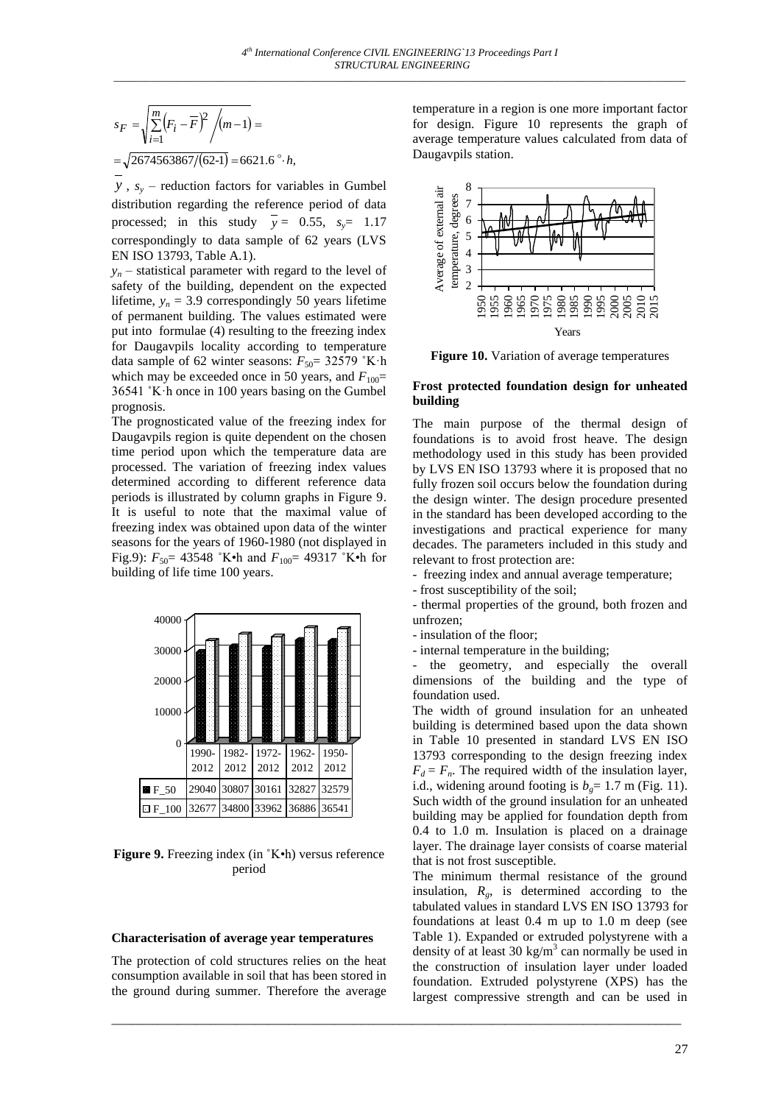$$
s_F = \sqrt{\sum_{i=1}^{m} (F_i - \overline{F})^2 / (m-1)} =
$$
  
=  $\sqrt{2674563867/(62-1)} = 6621.6$ °·h,

*y* , *s<sup>y</sup>* – reduction factors for variables in Gumbel distribution regarding the reference period of data processed; in this study  $y = 0.55$ ,  $s_y = 1.17$ correspondingly to data sample of 62 years (LVS EN ISO 13793, Table A.1).

 $y_n$  – statistical parameter with regard to the level of safety of the building, dependent on the expected lifetime,  $y_n = 3.9$  correspondingly 50 years lifetime of permanent building. The values estimated were put into formulae (4) resulting to the freezing index for Daugavpils locality according to temperature data sample of 62 winter seasons:  $F_{50}$ = 32579 °K·h which may be exceeded once in 50 years, and  $F_{100}$ = 36541 ˚K·h once in 100 years basing on the Gumbel prognosis.

The prognosticated value of the freezing index for Daugavpils region is quite dependent on the chosen time period upon which the temperature data are processed. The variation of freezing index values determined according to different reference data periods is illustrated by column graphs in Figure 9. It is useful to note that the maximal value of freezing index was obtained upon data of the winter seasons for the years of 1960-1980 (not displayed in Fig.9): *F*50= 43548 ˚K•h and *F*100= 49317 ˚K•h for building of life time 100 years.



**Figure 9.** Freezing index (in ˚K•h) versus reference period

### **Characterisation of average year temperatures**

The protection of cold structures relies on the heat consumption available in soil that has been stored in the ground during summer. Therefore the average

\_\_\_\_\_\_\_\_\_\_\_\_\_\_\_\_\_\_\_\_\_\_\_\_\_\_\_\_\_\_\_\_\_\_\_\_\_\_\_\_\_\_\_\_\_\_\_\_\_\_\_\_\_\_\_\_\_\_\_\_\_\_\_\_\_\_\_\_\_\_\_\_\_\_\_\_\_\_\_\_\_\_\_\_\_\_\_

temperature in a region is one more important factor for design. Figure 10 represents the graph of average temperature values calculated from data of Daugavpils station.



**Figure 10.** Variation of average temperatures

### **Frost protected foundation design for unheated building**

The main purpose of the thermal design of foundations is to avoid frost heave. The design methodology used in this study has been provided by LVS EN ISO 13793 where it is proposed that no fully frozen soil occurs below the foundation during the design winter. The design procedure presented in the standard has been developed according to the investigations and practical experience for many decades. The parameters included in this study and relevant to frost protection are:

- freezing index and annual average temperature;
- frost susceptibility of the soil;
- thermal properties of the ground, both frozen and unfrozen;
- insulation of the floor;
- internal temperature in the building;

the geometry, and especially the overall dimensions of the building and the type of foundation used.

The width of ground insulation for an unheated building is determined based upon the data shown in Table 10 presented in standard LVS EN ISO 13793 corresponding to the design freezing index  $F_d = F_n$ . The required width of the insulation layer, i.d., widening around footing is  $b<sub>g</sub> = 1.7$  m (Fig. 11). Such width of the ground insulation for an unheated building may be applied for foundation depth from 0.4 to 1.0 m. Insulation is placed on a drainage layer. The drainage layer consists of coarse material that is not frost susceptible.

The minimum thermal resistance of the ground insulation,  $R_g$ , is determined according to the tabulated values in standard LVS EN ISO 13793 for foundations at least 0.4 m up to 1.0 m deep (see Table 1). Expanded or extruded polystyrene with a density of at least  $30 \text{ kg/m}^3$  can normally be used in the construction of insulation layer under loaded foundation. Extruded polystyrene (XPS) has the largest compressive strength and can be used in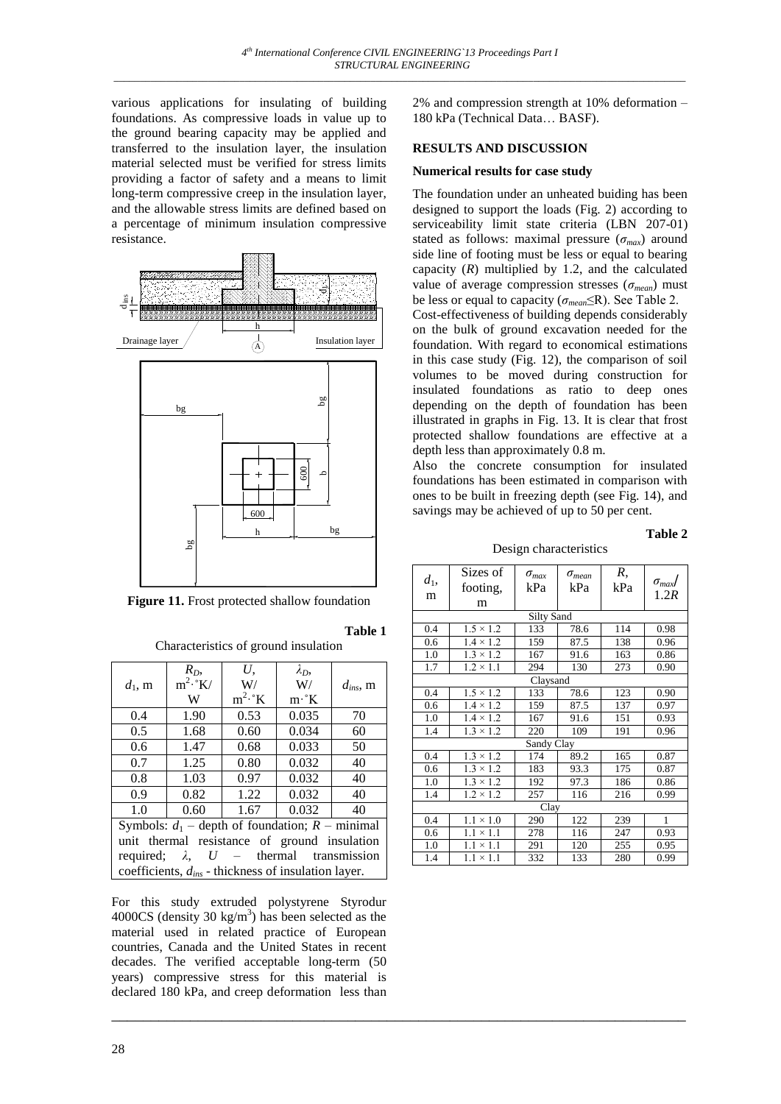various applications for insulating of building foundations. As compressive loads in value up to the ground bearing capacity may be applied and transferred to the insulation layer, the insulation material selected must be verified for stress limits providing a factor of safety and a means to limit long-term compressive creep in the insulation layer, and the allowable stress limits are defined based on a percentage of minimum insulation compressive resistance.



**Figure 11.** Frost protected shallow foundation

Characteristics of ground insulation

| $d_1$ , m                                                | $R_D$<br>$m^2 \cdot K$<br>W | U.<br>W/<br>$m^2 \cdot K$ | $\lambda_D$<br>W/<br>$m \cdot K$ | $d_{ins}$ , m |  |  |  |
|----------------------------------------------------------|-----------------------------|---------------------------|----------------------------------|---------------|--|--|--|
| 0.4                                                      | 1.90                        | 0.53                      | 0.035                            | 70            |  |  |  |
| 0.5                                                      | 1.68                        | 0.60                      | 0.034                            | 60            |  |  |  |
| 0.6                                                      | 1.47                        | 0.68                      | 0.033                            | 50            |  |  |  |
| 0.7                                                      | 1.25                        | 0.80                      | 0.032                            | 40            |  |  |  |
| 0.8                                                      | 1.03                        | 0.97                      | 0.032                            | 40            |  |  |  |
| 0.9                                                      | 0.82                        | 1.22                      | 0.032                            | 40            |  |  |  |
| 1.0                                                      | 0.60                        | 1.67                      | 0.032                            | 40            |  |  |  |
| Symbols: $d_1$ – depth of foundation; $R$ – minimal      |                             |                           |                                  |               |  |  |  |
| unit thermal resistance of ground insulation             |                             |                           |                                  |               |  |  |  |
| required; $\lambda$ , $U$ – thermal transmission         |                             |                           |                                  |               |  |  |  |
| coefficients, $d_{ins}$ - thickness of insulation layer. |                             |                           |                                  |               |  |  |  |

For this study extruded polystyrene Styrodur 4000CS (density 30 kg/m<sup>3</sup>) has been selected as the material used in related practice of European countries, Canada and the United States in recent decades. The verified acceptable long-term (50 years) compressive stress for this material is declared 180 kPa, and creep deformation less than

\_\_\_\_\_\_\_\_\_\_\_\_\_\_\_\_\_\_\_\_\_\_\_\_\_\_\_\_\_\_\_\_\_\_\_\_\_\_\_\_\_\_\_\_\_\_\_\_\_\_\_\_\_\_\_\_\_\_\_\_\_\_\_\_\_\_\_\_\_\_\_\_\_

**Table 1** 

2% and compression strength at 10% deformation – 180 kPa (Technical Data… BASF).

## **RESULTS AND DISCUSSION**

### **Numerical results for case study**

The foundation under an unheated buiding has been designed to support the loads (Fig. 2) according to serviceability limit state criteria (LBN 207-01) stated as follows: maximal pressure  $(\sigma_{max})$  around side line of footing must be less or equal to bearing capacity  $(R)$  multiplied by 1.2, and the calculated value of average compression stresses (*σmean*) must be less or equal to capacity (*σmean*≤R). See Table 2.

Cost-effectiveness of building depends considerably on the bulk of ground excavation needed for the foundation. With regard to economical estimations in this case study (Fig. 12), the comparison of soil volumes to be moved during construction for insulated foundations as ratio to deep ones depending on the depth of foundation has been illustrated in graphs in Fig. 13. It is clear that frost protected shallow foundations are effective at a depth less than approximately 0.8 m.

Also the concrete consumption for insulated foundations has been estimated in comparison with ones to be built in freezing depth (see Fig. 14), and savings may be achieved of up to 50 per cent.

**Table 2**

Design characteristics

| $d_1$ ,<br>m      | Sizes of<br>footing,<br>m | $\sigma_{max}$<br>kPa | $\sigma_{mean}$<br>kPa | R,<br>kPa | $\sigma_{max}$<br>1.2R |  |  |
|-------------------|---------------------------|-----------------------|------------------------|-----------|------------------------|--|--|
| <b>Silty Sand</b> |                           |                       |                        |           |                        |  |  |
| 0.4               | $1.5 \times 1.2$          | 133                   | 78.6                   | 114       | 0.98                   |  |  |
| 0.6               | $1.4 \times 1.2$          | 159                   | 87.5                   | 138       | 0.96                   |  |  |
| 1.0               | $1.3 \times 1.2$          | 167                   | 91.6                   | 163       | 0.86                   |  |  |
| 1.7               | $1.2 \times 1.1$          | 294                   | 130                    | 273       | 0.90                   |  |  |
| Claysand          |                           |                       |                        |           |                        |  |  |
| 0.4               | $1.5 \times 1.2$          | 133                   | 78.6                   | 123       | 0.90                   |  |  |
| 0.6               | $1.4 \times 1.2$          | 159                   | 87.5                   | 137       | 0.97                   |  |  |
| 1.0               | $1.4 \times 1.2$          | 167                   | 91.6                   | 151       | 0.93                   |  |  |
| 1.4               | $1.3 \times 1.2$          | 220                   | 109                    | 191       | 0.96                   |  |  |
| Sandy Clay        |                           |                       |                        |           |                        |  |  |
| 0.4               | $1.3 \times 1.2$          | 174                   | 89.2                   | 165       | 0.87                   |  |  |
| 0.6               | $1.3 \times 1.2$          | 183                   | 93.3                   | 175       | 0.87                   |  |  |
| 1.0               | $1.3 \times 1.2$          | 192                   | 97.3                   | 186       | 0.86                   |  |  |
| 1.4               | $1.2 \times 1.2$          | 257                   | 116                    | 216       | 0.99                   |  |  |
| Clay              |                           |                       |                        |           |                        |  |  |
| 0.4               | $1.1 \times 1.0$          | 290                   | 122                    | 239       | 1                      |  |  |
| 0.6               | $1.1 \times 1.1$          | 278                   | 116                    | 247       | 0.93                   |  |  |
| 1.0               | $\times$ 1.1<br>1.1       | 291                   | 120                    | 255       | 0.95                   |  |  |
| 1.4               | $1.1 \times 1.1$          | 332                   | 133                    | 280       | 0.99                   |  |  |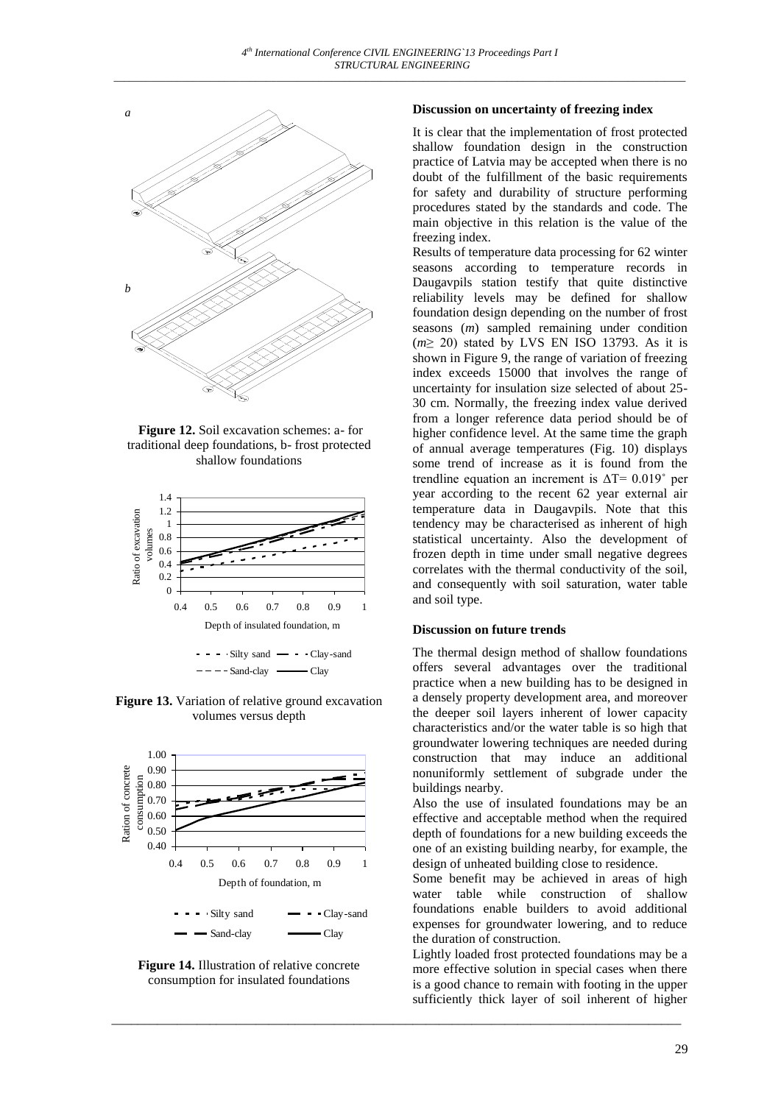

**Figure 12.** Soil excavation schemes: a- for traditional deep foundations, b- frost protected shallow foundations



 $---$  Sand-clay  $---$  Clay

**Figure 13.** Variation of relative ground excavation volumes versus depth



**Figure 14.** Illustration of relative concrete consumption for insulated foundations

\_\_\_\_\_\_\_\_\_\_\_\_\_\_\_\_\_\_\_\_\_\_\_\_\_\_\_\_\_\_\_\_\_\_\_\_\_\_\_\_\_\_\_\_\_\_\_\_\_\_\_\_\_\_\_\_\_\_\_\_\_\_\_\_\_\_\_\_\_\_\_\_\_\_\_\_\_\_\_\_\_\_\_\_\_\_\_

### **Discussion on uncertainty of freezing index**

It is clear that the implementation of frost protected shallow foundation design in the construction practice of Latvia may be accepted when there is no doubt of the fulfillment of the basic requirements for safety and durability of structure performing procedures stated by the standards and code. The main objective in this relation is the value of the freezing index.

Results of temperature data processing for 62 winter seasons according to temperature records in Daugavpils station testify that quite distinctive reliability levels may be defined for shallow foundation design depending on the number of frost seasons (*m*) sampled remaining under condition (*m*≥ 20) stated by LVS EN ISO 13793. As it is shown in Figure 9, the range of variation of freezing index exceeds 15000 that involves the range of uncertainty for insulation size selected of about 25- 30 cm. Normally, the freezing index value derived from a longer reference data period should be of higher confidence level. At the same time the graph of annual average temperatures (Fig. 10) displays some trend of increase as it is found from the trendline equation an increment is  $\Delta T = 0.019$ ° per year according to the recent 62 year external air temperature data in Daugavpils. Note that this tendency may be characterised as inherent of high statistical uncertainty. Also the development of frozen depth in time under small negative degrees correlates with the thermal conductivity of the soil, and consequently with soil saturation, water table and soil type.

### **Discussion on future trends**

The thermal design method of shallow foundations offers several advantages over the traditional practice when a new building has to be designed in a densely property development area, and moreover the deeper soil layers inherent of lower capacity characteristics and/or the water table is so high that groundwater lowering techniques are needed during construction that may induce an additional nonuniformly settlement of subgrade under the buildings nearby.

Also the use of insulated foundations may be an effective and acceptable method when the required depth of foundations for a new building exceeds the one of an existing building nearby, for example, the design of unheated building close to residence.

Some benefit may be achieved in areas of high water table while construction of shallow foundations enable builders to avoid additional expenses for groundwater lowering, and to reduce the duration of construction.

Lightly loaded frost protected foundations may be a more effective solution in special cases when there is a good chance to remain with footing in the upper sufficiently thick layer of soil inherent of higher